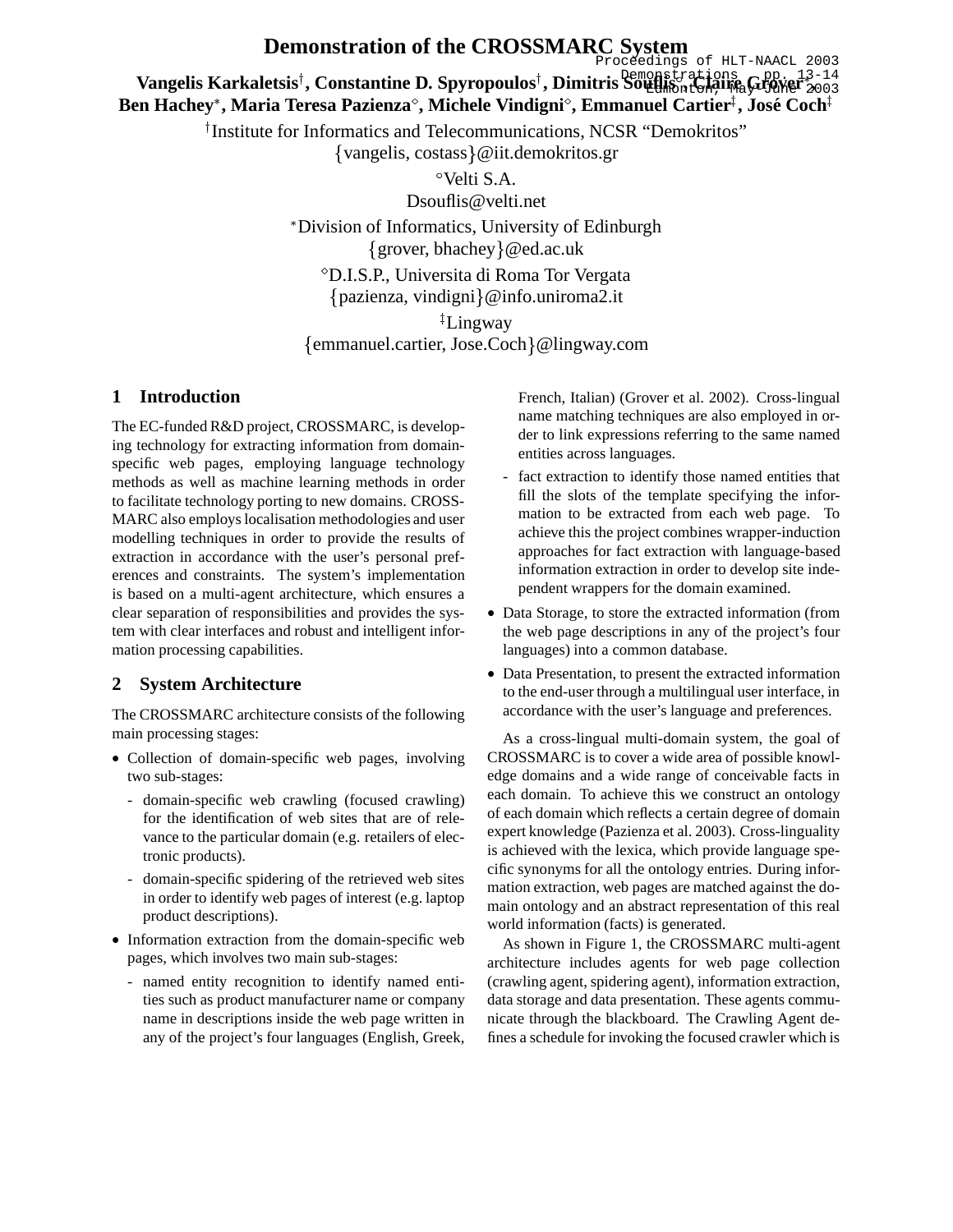# **Demonstration of the CROSSMARC System**

Proceedings of HLT-NAACL 2003

**Vangelis Karkaletsis<sup>†</sup>, Constantine D. Spyropoulos<sup>†</sup>, Dimitris Soutlis at Salire Grouper<sup>320</sup>2003 Ben Hachey**- **, Maria Teresa Pazienza, Michele Vindigni , Emmanuel Cartier , Jose´ Coch** Vengelis Korkeletsia Constantine D. Sprungaulaat Dimitrie Remonstrations (pp. 13-14

<sup>†</sup>Institute for Informatics and Telecommunications, NCSR "Demokritos"

{vangelis, costass}@iit.demokritos.gr

Velti S.A.

Dsouflis@velti.net

- Division of Informatics, University of Edinburgh  ${grover, black} @$ ed.ac.uk

 D.I.S.P., Universita di Roma Tor Vergata pazienza, vindigni @info.uniroma2.it

 Lingway emmanuel.cartier, Jose.Coch @lingway.com

# **1 Introduction**

The EC-funded R&D project, CROSSMARC, is developing technology for extracting information from domainspecific web pages, employing language technology methods as well as machine learning methods in order to facilitate technology porting to new domains. CROSS-MARC also employs localisation methodologies and user modelling techniques in order to provide the results of extraction in accordance with the user's personal preferences and constraints. The system's implementation is based on a multi-agent architecture, which ensures a clear separation of responsibilities and provides the system with clear interfaces and robust and intelligent information processing capabilities.

# **2 System Architecture**

The CROSSMARC architecture consists of the following main processing stages:

- Collection of domain-specific web pages, involving two sub-stages:
	- domain-specific web crawling (focused crawling) for the identification of web sites that are of relevance to the particular domain (e.g. retailers of electronic products).
	- domain-specific spidering of the retrieved web sites in order to identify web pages of interest (e.g. laptop product descriptions).
- Information extraction from the domain-specific web pages, which involves two main sub-stages:
	- named entity recognition to identify named entities such as product manufacturer name or company name in descriptions inside the web page written in any of the project's four languages (English, Greek,

French, Italian) (Grover et al. 2002). Cross-lingual name matching techniques are also employed in order to link expressions referring to the same named entities across languages.

- fact extraction to identify those named entities that fill the slots of the template specifying the information to be extracted from each web page. To achieve this the project combines wrapper-induction approaches for fact extraction with language-based information extraction in order to develop site independent wrappers for the domain examined.
- Data Storage, to store the extracted information (from the web page descriptions in any of the project's four languages) into a common database.
- Data Presentation, to present the extracted information to the end-user through a multilingual user interface, in accordance with the user's language and preferences.

As a cross-lingual multi-domain system, the goal of CROSSMARC is to cover a wide area of possible knowledge domains and a wide range of conceivable facts in each domain. To achieve this we construct an ontology of each domain which reflects a certain degree of domain expert knowledge (Pazienza et al. 2003). Cross-linguality is achieved with the lexica, which provide language specific synonyms for all the ontology entries. During information extraction, web pages are matched against the domain ontology and an abstract representation of this real world information (facts) is generated.

As shown in Figure 1, the CROSSMARC multi-agent architecture includes agents for web page collection (crawling agent, spidering agent), information extraction, data storage and data presentation. These agents communicate through the blackboard. The Crawling Agent defines a schedule for invoking the focused crawler which is